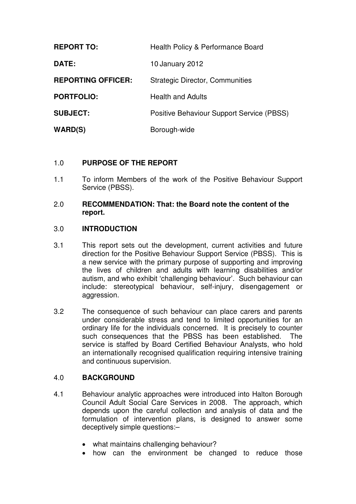| <b>REPORT TO:</b>         | Health Policy & Performance Board         |
|---------------------------|-------------------------------------------|
| <b>DATE:</b>              | 10 January 2012                           |
| <b>REPORTING OFFICER:</b> | <b>Strategic Director, Communities</b>    |
| <b>PORTFOLIO:</b>         | <b>Health and Adults</b>                  |
| <b>SUBJECT:</b>           | Positive Behaviour Support Service (PBSS) |
| <b>WARD(S)</b>            | Borough-wide                              |

# 1.0 **PURPOSE OF THE REPORT**

1.1 To inform Members of the work of the Positive Behaviour Support Service (PBSS).

### 2.0 **RECOMMENDATION: That: the Board note the content of the report.**

### 3.0 **INTRODUCTION**

- 3.1 This report sets out the development, current activities and future direction for the Positive Behaviour Support Service (PBSS). This is a new service with the primary purpose of supporting and improving the lives of children and adults with learning disabilities and/or autism, and who exhibit 'challenging behaviour'. Such behaviour can include: stereotypical behaviour, self-injury, disengagement or aggression.
- 3.2 The consequence of such behaviour can place carers and parents under considerable stress and tend to limited opportunities for an ordinary life for the individuals concerned. It is precisely to counter such consequences that the PBSS has been established. The service is staffed by Board Certified Behaviour Analysts, who hold an internationally recognised qualification requiring intensive training and continuous supervision.

### 4.0 **BACKGROUND**

- 4.1 Behaviour analytic approaches were introduced into Halton Borough Council Adult Social Care Services in 2008. The approach, which depends upon the careful collection and analysis of data and the formulation of intervention plans, is designed to answer some deceptively simple questions:–
	- what maintains challenging behaviour?
	- how can the environment be changed to reduce those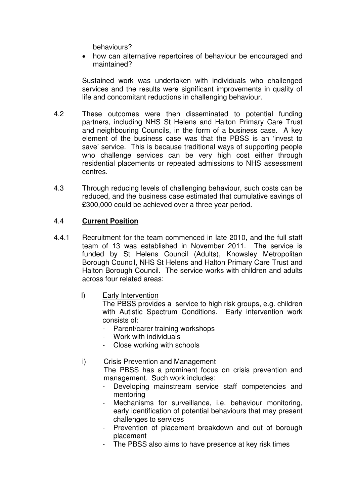behaviours?

• how can alternative repertoires of behaviour be encouraged and maintained?

Sustained work was undertaken with individuals who challenged services and the results were significant improvements in quality of life and concomitant reductions in challenging behaviour.

- 4.2 These outcomes were then disseminated to potential funding partners, including NHS St Helens and Halton Primary Care Trust and neighbouring Councils, in the form of a business case. A key element of the business case was that the PBSS is an 'invest to save' service. This is because traditional ways of supporting people who challenge services can be very high cost either through residential placements or repeated admissions to NHS assessment centres.
- 4.3 Through reducing levels of challenging behaviour, such costs can be reduced, and the business case estimated that cumulative savings of £300,000 could be achieved over a three year period.

## 4.4 **Current Position**

- 4.4.1 Recruitment for the team commenced in late 2010, and the full staff team of 13 was established in November 2011. The service is funded by St Helens Council (Adults), Knowsley Metropolitan Borough Council, NHS St Helens and Halton Primary Care Trust and Halton Borough Council. The service works with children and adults across four related areas:
	- I) Early Intervention

The PBSS provides a service to high risk groups, e.g. children with Autistic Spectrum Conditions. Early intervention work consists of:

- Parent/carer training workshops
- Work with individuals
- Close working with schools

# i) Crisis Prevention and Management

The PBSS has a prominent focus on crisis prevention and management. Such work includes:

- Developing mainstream service staff competencies and mentoring
- Mechanisms for surveillance, i.e. behaviour monitoring, early identification of potential behaviours that may present challenges to services
- Prevention of placement breakdown and out of borough placement
- The PBSS also aims to have presence at key risk times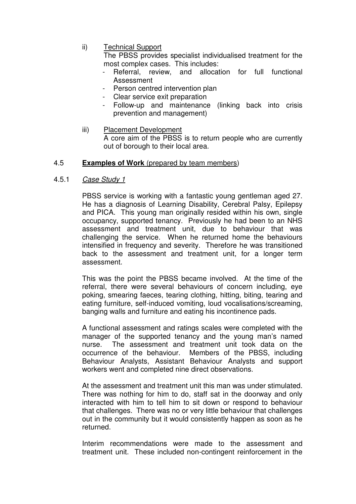ii) Technical Support

The PBSS provides specialist individualised treatment for the most complex cases. This includes:

- Referral, review, and allocation for full functional Assessment
- Person centred intervention plan
- Clear service exit preparation
- Follow-up and maintenance (linking back into crisis prevention and management)
- iii) Placement Development A core aim of the PBSS is to return people who are currently out of borough to their local area.

### 4.5 **Examples of Work** (prepared by team members)

4.5.1 Case Study 1

PBSS service is working with a fantastic young gentleman aged 27. He has a diagnosis of Learning Disability, Cerebral Palsy, Epilepsy and PICA. This young man originally resided within his own, single occupancy, supported tenancy. Previously he had been to an NHS assessment and treatment unit, due to behaviour that was challenging the service. When he returned home the behaviours intensified in frequency and severity. Therefore he was transitioned back to the assessment and treatment unit, for a longer term assessment.

This was the point the PBSS became involved. At the time of the referral, there were several behaviours of concern including, eye poking, smearing faeces, tearing clothing, hitting, biting, tearing and eating furniture, self-induced vomiting, loud vocalisations/screaming, banging walls and furniture and eating his incontinence pads.

A functional assessment and ratings scales were completed with the manager of the supported tenancy and the young man's named nurse. The assessment and treatment unit took data on the occurrence of the behaviour. Members of the PBSS, including Behaviour Analysts, Assistant Behaviour Analysts and support workers went and completed nine direct observations.

At the assessment and treatment unit this man was under stimulated. There was nothing for him to do, staff sat in the doorway and only interacted with him to tell him to sit down or respond to behaviour that challenges. There was no or very little behaviour that challenges out in the community but it would consistently happen as soon as he returned.

Interim recommendations were made to the assessment and treatment unit. These included non-contingent reinforcement in the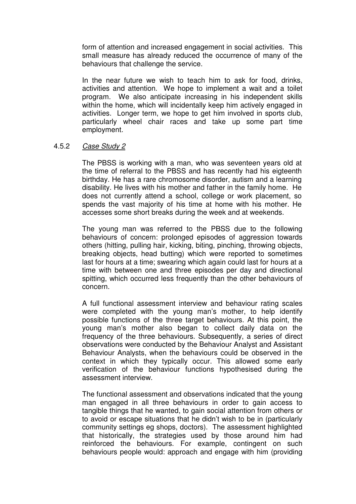form of attention and increased engagement in social activities. This small measure has already reduced the occurrence of many of the behaviours that challenge the service.

In the near future we wish to teach him to ask for food, drinks, activities and attention. We hope to implement a wait and a toilet program. We also anticipate increasing in his independent skills within the home, which will incidentally keep him actively engaged in activities. Longer term, we hope to get him involved in sports club, particularly wheel chair races and take up some part time employment.

#### 4.5.2 Case Study 2

The PBSS is working with a man, who was seventeen years old at the time of referral to the PBSS and has recently had his eigteenth birthday. He has a rare chromosome disorder, autism and a learning disability. He lives with his mother and father in the family home. He does not currently attend a school, college or work placement, so spends the vast majority of his time at home with his mother. He accesses some short breaks during the week and at weekends.

The young man was referred to the PBSS due to the following behaviours of concern: prolonged episodes of aggression towards others (hitting, pulling hair, kicking, biting, pinching, throwing objects, breaking objects, head butting) which were reported to sometimes last for hours at a time; swearing which again could last for hours at a time with between one and three episodes per day and directional spitting, which occurred less frequently than the other behaviours of concern.

A full functional assessment interview and behaviour rating scales were completed with the young man's mother, to help identify possible functions of the three target behaviours. At this point, the young man's mother also began to collect daily data on the frequency of the three behaviours. Subsequently, a series of direct observations were conducted by the Behaviour Analyst and Assistant Behaviour Analysts, when the behaviours could be observed in the context in which they typically occur. This allowed some early verification of the behaviour functions hypothesised during the assessment interview.

The functional assessment and observations indicated that the young man engaged in all three behaviours in order to gain access to tangible things that he wanted, to gain social attention from others or to avoid or escape situations that he didn't wish to be in (particularly community settings eg shops, doctors). The assessment highlighted that historically, the strategies used by those around him had reinforced the behaviours. For example, contingent on such behaviours people would: approach and engage with him (providing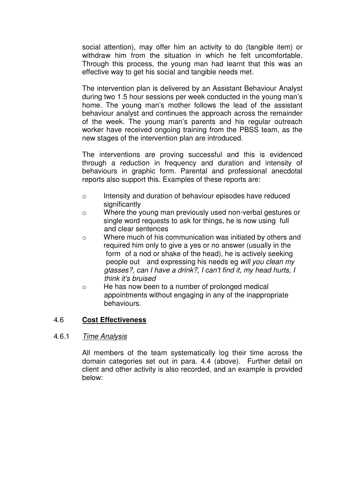social attention), may offer him an activity to do (tangible item) or withdraw him from the situation in which he felt uncomfortable. Through this process, the young man had learnt that this was an effective way to get his social and tangible needs met.

The intervention plan is delivered by an Assistant Behaviour Analyst during two 1.5 hour sessions per week conducted in the young man's home. The young man's mother follows the lead of the assistant behaviour analyst and continues the approach across the remainder of the week. The young man's parents and his regular outreach worker have received ongoing training from the PBSS team, as the new stages of the intervention plan are introduced.

The interventions are proving successful and this is evidenced through a reduction in frequency and duration and intensity of behaviours in graphic form. Parental and professional anecdotal reports also support this. Examples of these reports are:

- o Intensity and duration of behaviour episodes have reduced significantly
- o Where the young man previously used non-verbal gestures or single word requests to ask for things, he is now using full and clear sentences
- o Where much of his communication was initiated by others and required him only to give a yes or no answer (usually in the form of a nod or shake of the head), he is actively seeking people out and expressing his needs eg will you clean my glasses?, can I have a drink?, I can't find it, my head hurts, I think it's bruised
- o He has now been to a number of prolonged medical appointments without engaging in any of the inappropriate behaviours.

# 4.6 **Cost Effectiveness**

### 4.6.1 Time Analysis

All members of the team systematically log their time across the domain categories set out in para. 4.4 (above). Further detail on client and other activity is also recorded, and an example is provided below: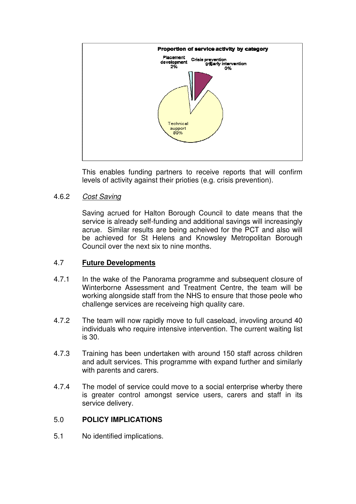

This enables funding partners to receive reports that will confirm levels of activity against their prioties (e.g. crisis prevention).

### 4.6.2 Cost Saving

Saving acrued for Halton Borough Council to date means that the service is already self-funding and additional savings will increasingly acrue. Similar results are being acheived for the PCT and also will be achieved for St Helens and Knowsley Metropolitan Borough Council over the next six to nine months.

### 4.7 **Future Developments**

- 4.7.1 In the wake of the Panorama programme and subsequent closure of Winterborne Assessment and Treatment Centre, the team will be working alongside staff from the NHS to ensure that those peole who challenge services are receiveing high quality care.
- 4.7.2 The team will now rapidly move to full caseload, invovling around 40 individuals who require intensive intervention. The current waiting list is 30.
- 4.7.3 Training has been undertaken with around 150 staff across children and adult services. This programme with expand further and similarly with parents and carers.
- 4.7.4 The model of service could move to a social enterprise wherby there is greater control amongst service users, carers and staff in its service delivery.

# 5.0 **POLICY IMPLICATIONS**

5.1 No identified implications.